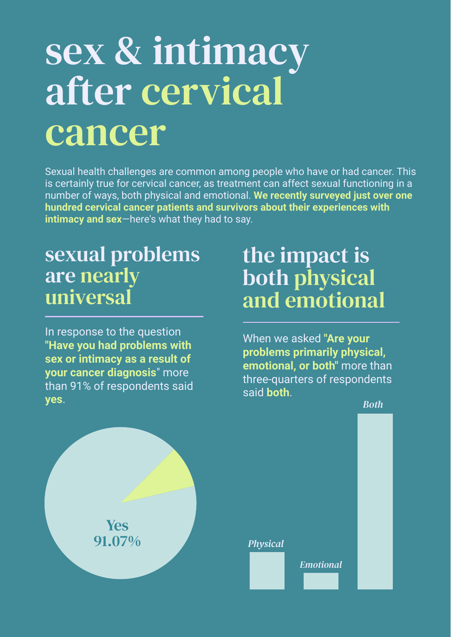# sex & intimacy after cervical cancer

## sexual problems are nearly universal

In response to the question **"Have you had problems with sex or intimacy as a result of your cancer diagnosis**" more than 91% of respondents said **yes**.

the impact is both physical and emotional

*Both*

Sexual health challenges are common among people who have or had cancer. This is certainly true for cervical cancer, as treatment can affect sexual functioning in a number of ways, both physical and emotional. **We recently surveyed just over one hundred cervical cancer patients and survivors about their experiences with intimacy and sex**—here's what they had to say.

## Yes 91.07%

When we asked **"Are your problems primarily physical, emotional, or both"** more than three-quarters of respondents said **both**.

#### *Physical*

*Emotional*